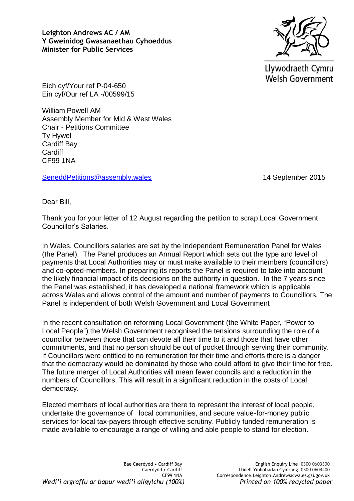**Leighton Andrews AC / AM Y Gweinidog Gwasanaethau Cyhoeddus Minister for Public Services** 



Llywodraeth Cymru **Welsh Government** 

Eich cyf/Your ref P-04-650 Ein cyf/Our ref LA -/00599/15

William Powell AM Assembly Member for Mid & West Wales Chair - Petitions Committee Ty Hywel Cardiff Bay **Cardiff** CF99 1NA

[SeneddPetitions@assembly.wales](mailto:SeneddPetitions@assembly.wales) 14 September 2015

Dear Bill,

Thank you for your letter of 12 August regarding the petition to scrap Local Government Councillor's Salaries.

In Wales, Councillors salaries are set by the Independent Remuneration Panel for Wales (the Panel). The Panel produces an Annual Report which sets out the type and level of payments that Local Authorities may or must make available to their members (councillors) and co-opted-members. In preparing its reports the Panel is required to take into account the likely financial impact of its decisions on the authority in question. In the 7 years since the Panel was established, it has developed a national framework which is applicable across Wales and allows control of the amount and number of payments to Councillors. The Panel is independent of both Welsh Government and Local Government

In the recent consultation on reforming Local Government (the White Paper, "Power to Local People") the Welsh Government recognised the tensions surrounding the role of a councillor between those that can devote all their time to it and those that have other commitments, and that no person should be out of pocket through serving their community. If Councillors were entitled to no remuneration for their time and efforts there is a danger that the democracy would be dominated by those who could afford to give their time for free. The future merger of Local Authorities will mean fewer councils and a reduction in the numbers of Councillors. This will result in a significant reduction in the costs of Local democracy.

Elected members of local authorities are there to represent the interest of local people, undertake the governance of local communities, and secure value-for-money public services for local tax-payers through effective scrutiny. Publicly funded remuneration is made available to encourage a range of willing and able people to stand for election.